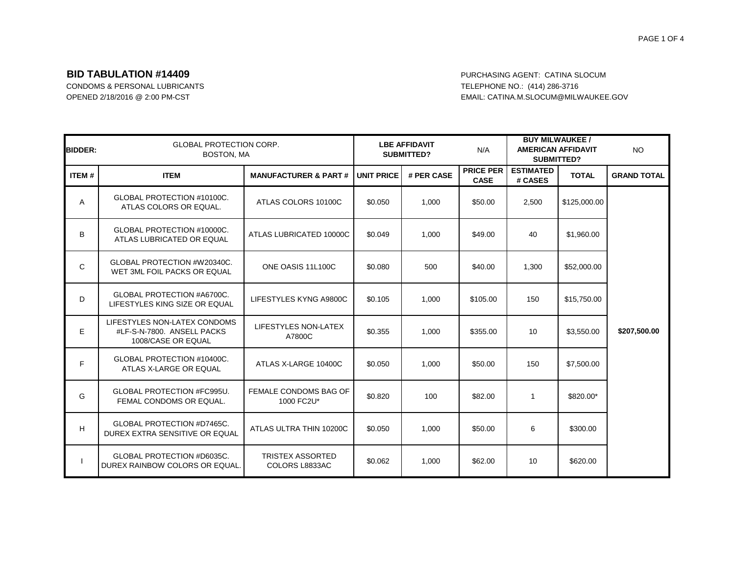#### PAGE 1 OF 4

# **BID TABULATION #14409 BID TABULATION #14409**

CONDOMS & PERSONAL LUBRICANTS TELEPHONE NO.: (414) 286-3716 OPENED 2/18/2016 @ 2:00 PM-CST CONTROLL: CATINA.M.SLOCUM@MILWAUKEE.GOV

| <b>BIDDER:</b> |                                                                                  | <b>GLOBAL PROTECTION CORP.</b><br><b>BOSTON, MA</b> |            | <b>LBE AFFIDAVIT</b><br>SUBMITTED? |                                 | <b>BUY MILWAUKEE /</b><br><b>AMERICAN AFFIDAVIT</b><br><b>SUBMITTED?</b> |              | <b>NO</b>          |
|----------------|----------------------------------------------------------------------------------|-----------------------------------------------------|------------|------------------------------------|---------------------------------|--------------------------------------------------------------------------|--------------|--------------------|
| <b>ITEM#</b>   | <b>ITEM</b>                                                                      | <b>MANUFACTURER &amp; PART#</b>                     | UNIT PRICE | # PER CASE                         | <b>PRICE PER</b><br><b>CASE</b> | <b>ESTIMATED</b><br># CASES                                              | <b>TOTAL</b> | <b>GRAND TOTAL</b> |
| A              | GLOBAL PROTECTION #10100C.<br>ATLAS COLORS OR EQUAL.                             | ATLAS COLORS 10100C                                 | \$0.050    | 1.000                              | \$50.00                         | 2,500                                                                    | \$125,000.00 |                    |
| B              | GLOBAL PROTECTION #10000C.<br>ATLAS LUBRICATED OR EQUAL                          | ATLAS LUBRICATED 10000C                             | \$0.049    | 1,000                              | \$49.00                         | 40                                                                       | \$1,960.00   |                    |
| $\mathsf{C}$   | GLOBAL PROTECTION #W20340C.<br>WET 3ML FOIL PACKS OR EQUAL                       | ONE OASIS 11L100C                                   | \$0.080    | 500                                | \$40.00                         | 1,300                                                                    | \$52,000.00  |                    |
| D              | GLOBAL PROTECTION #A6700C.<br>LIFESTYLES KING SIZE OR EQUAL                      | LIFESTYLES KYNG A9800C                              | \$0.105    | 1,000                              | \$105.00                        | 150                                                                      | \$15,750.00  |                    |
| E              | LIFESTYLES NON-LATEX CONDOMS<br>#LF-S-N-7800. ANSELL PACKS<br>1008/CASE OR EQUAL | LIFESTYLES NON-LATEX<br>A7800C                      | \$0.355    | 1,000                              | \$355.00                        | 10                                                                       | \$3,550.00   | \$207,500.00       |
| F.             | GLOBAL PROTECTION #10400C.<br>ATLAS X-LARGE OR EQUAL                             | ATLAS X-LARGE 10400C                                | \$0.050    | 1,000                              | \$50.00                         | 150                                                                      | \$7,500.00   |                    |
| G              | <b>GLOBAL PROTECTION #FC995U.</b><br>FEMAL CONDOMS OR EQUAL.                     | FEMALE CONDOMS BAG OF<br>1000 FC2U*                 | \$0.820    | 100                                | \$82.00                         | -1                                                                       | \$820.00*    |                    |
| H              | GLOBAL PROTECTION #D7465C.<br>DUREX EXTRA SENSITIVE OR EQUAL                     | ATLAS ULTRA THIN 10200C                             | \$0.050    | 1,000                              | \$50.00                         | 6                                                                        | \$300.00     |                    |
|                | GLOBAL PROTECTION #D6035C.<br>DUREX RAINBOW COLORS OR EQUAL.                     | <b>TRISTEX ASSORTED</b><br>COLORS L8833AC           | \$0.062    | 1,000                              | \$62.00                         | 10                                                                       | \$620.00     |                    |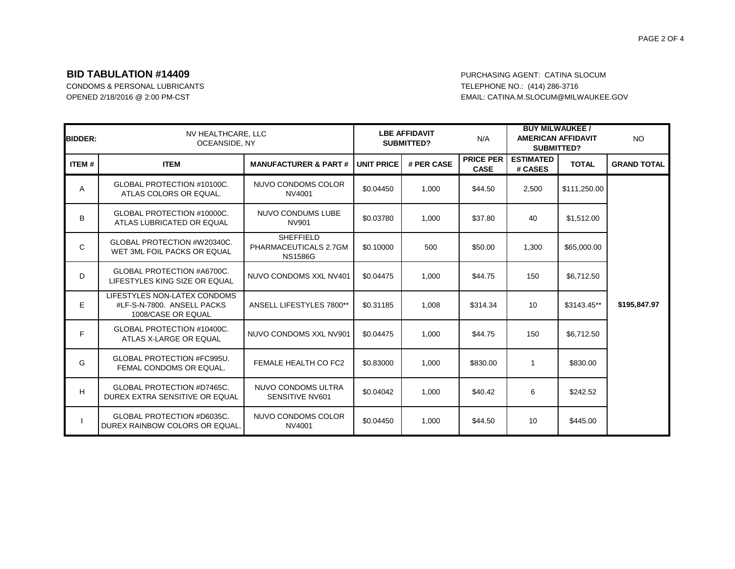# **BID TABULATION #14409 BID TABULATION #14409**

CONDOMS & PERSONAL LUBRICANTS TELEPHONE NO.: (414) 286-3716 OPENED 2/18/2016 @ 2:00 PM-CST CONTROLL: CATINA.M.SLOCUM@MILWAUKEE.GOV

| <b>BIDDER:</b> |                                                                                  | NV HEALTHCARE, LLC<br>OCEANSIDE, NY                         |                   | <b>LBE AFFIDAVIT</b><br><b>SUBMITTED?</b> |                                 | <b>BUY MILWAUKEE /</b><br><b>AMERICAN AFFIDAVIT</b><br><b>SUBMITTED?</b> |              | <b>NO</b>          |
|----------------|----------------------------------------------------------------------------------|-------------------------------------------------------------|-------------------|-------------------------------------------|---------------------------------|--------------------------------------------------------------------------|--------------|--------------------|
| ITEM#          | <b>ITEM</b>                                                                      | <b>MANUFACTURER &amp; PART#</b>                             | <b>UNIT PRICE</b> | # PER CASE                                | <b>PRICE PER</b><br><b>CASE</b> | <b>ESTIMATED</b><br># CASES                                              | <b>TOTAL</b> | <b>GRAND TOTAL</b> |
| Α              | GLOBAL PROTECTION #10100C.<br>ATLAS COLORS OR EQUAL.                             | NUVO CONDOMS COLOR<br>NV4001                                | \$0.04450         | 1,000                                     | \$44.50                         | 2,500                                                                    | \$111,250.00 |                    |
| B              | GLOBAL PROTECTION #10000C.<br>ATLAS LUBRICATED OR EQUAL                          | NUVO CONDUMS LUBE<br>NV901                                  | \$0.03780         | 1,000                                     | \$37.80                         | 40                                                                       | \$1,512.00   |                    |
| C              | GLOBAL PROTECTION #W20340C.<br>WET 3ML FOIL PACKS OR EQUAL                       | <b>SHEFFIELD</b><br>PHARMACEUTICALS 2.7GM<br><b>NS1586G</b> | \$0.10000         | 500                                       | \$50.00                         | 1,300                                                                    | \$65,000.00  |                    |
| D              | GLOBAL PROTECTION #A6700C.<br>LIFESTYLES KING SIZE OR EQUAL                      | NUVO CONDOMS XXL NV401                                      | \$0.04475         | 1,000                                     | \$44.75                         | 150                                                                      | \$6,712.50   |                    |
| E              | LIFESTYLES NON-LATEX CONDOMS<br>#LF-S-N-7800. ANSELL PACKS<br>1008/CASE OR EQUAL | ANSELL LIFESTYLES 7800**                                    | \$0.31185         | 1,008                                     | \$314.34                        | 10                                                                       | \$3143.45**  | \$195,847.97       |
| F              | GLOBAL PROTECTION #10400C.<br>ATLAS X-LARGE OR EQUAL                             | NUVO CONDOMS XXL NV901                                      | \$0.04475         | 1,000                                     | \$44.75                         | 150                                                                      | \$6,712.50   |                    |
| G              | <b>GLOBAL PROTECTION #FC995U.</b><br>FEMAL CONDOMS OR EQUAL.                     | FEMALE HEALTH CO FC2                                        | \$0.83000         | 1,000                                     | \$830.00                        | 1                                                                        | \$830.00     |                    |
| H              | GLOBAL PROTECTION #D7465C.<br>DUREX EXTRA SENSITIVE OR EQUAL                     | NUVO CONDOMS ULTRA<br>SENSITIVE NV601                       | \$0.04042         | 1,000                                     | \$40.42                         | 6                                                                        | \$242.52     |                    |
|                | GLOBAL PROTECTION #D6035C.<br>DUREX RAINBOW COLORS OR EQUAL.                     | NUVO CONDOMS COLOR<br>NV4001                                | \$0.04450         | 1,000                                     | \$44.50                         | 10                                                                       | \$445.00     |                    |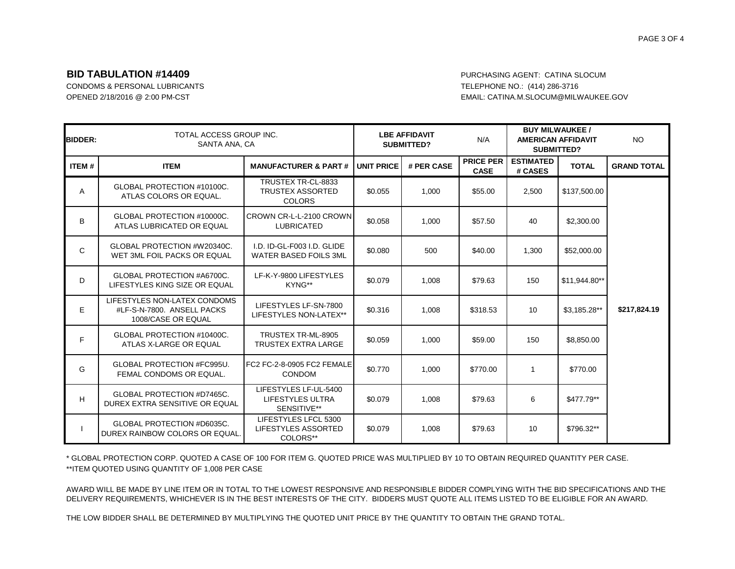## **BID TABULATION #14409** PURCHASING AGENT: CATINA SLOCUM

CONDOMS & PERSONAL LUBRICANTS TELEPHONE NO.: (414) 286-3716

OPENED 2/18/2016 @ 2:00 PM-CST EMAIL: CATINA.M.SLOCUM@MILWAUKEE.GOV

| <b>BIDDER:</b> | TOTAL ACCESS GROUP INC.<br>SANTA ANA, CA                                         |                                                                | <b>LBE AFFIDAVIT</b><br><b>SUBMITTED?</b> |            | <b>BUY MILWAUKEE /</b><br>N/A<br><b>AMERICAN AFFIDAVIT</b><br><b>SUBMITTED?</b> |                             |               | <b>NO</b>          |
|----------------|----------------------------------------------------------------------------------|----------------------------------------------------------------|-------------------------------------------|------------|---------------------------------------------------------------------------------|-----------------------------|---------------|--------------------|
| <b>ITEM#</b>   | <b>ITEM</b>                                                                      | <b>MANUFACTURER &amp; PART#</b>                                | <b>JUNIT PRICE</b>                        | # PER CASE | <b>PRICE PER</b><br><b>CASE</b>                                                 | <b>ESTIMATED</b><br># CASES | <b>TOTAL</b>  | <b>GRAND TOTAL</b> |
| Α              | GLOBAL PROTECTION #10100C.<br>ATLAS COLORS OR EQUAL.                             | TRUSTEX TR-CL-8833<br><b>TRUSTEX ASSORTED</b><br><b>COLORS</b> | \$0.055                                   | 1,000      | \$55.00                                                                         | 2,500                       | \$137,500.00  |                    |
| B              | GLOBAL PROTECTION #10000C.<br>ATLAS LUBRICATED OR EQUAL                          | CROWN CR-L-L-2100 CROWN<br><b>LUBRICATED</b>                   | \$0.058                                   | 1,000      | \$57.50                                                                         | 40                          | \$2,300.00    |                    |
| C              | GLOBAL PROTECTION #W20340C.<br>WET 3ML FOIL PACKS OR EQUAL                       | I.D. ID-GL-F003 I.D. GLIDE<br><b>WATER BASED FOILS 3ML</b>     | \$0.080                                   | 500        | \$40.00                                                                         | 1.300                       | \$52,000.00   |                    |
| D              | GLOBAL PROTECTION #A6700C.<br>LIFESTYLES KING SIZE OR EQUAL                      | LF-K-Y-9800 LIFESTYLES<br>KYNG**                               | \$0.079                                   | 1,008      | \$79.63                                                                         | 150                         | \$11,944.80** |                    |
| E              | LIFESTYLES NON-LATEX CONDOMS<br>#LF-S-N-7800. ANSELL PACKS<br>1008/CASE OR EQUAL | LIFESTYLES LF-SN-7800<br>LIFESTYLES NON-LATEX**                | \$0.316                                   | 1,008      | \$318.53                                                                        | 10                          | \$3,185.28**  | \$217,824.19       |
| F              | GLOBAL PROTECTION #10400C.<br>ATLAS X-LARGE OR EQUAL                             | TRUSTEX TR-ML-8905<br><b>TRUSTEX EXTRA LARGE</b>               | \$0.059                                   | 1.000      | \$59.00                                                                         | 150                         | \$8,850.00    |                    |
| G              | GLOBAL PROTECTION #FC995U.<br>FEMAL CONDOMS OR EQUAL.                            | FC2 FC-2-8-0905 FC2 FEMALE<br>CONDOM                           | \$0.770                                   | 1,000      | \$770.00                                                                        |                             | \$770.00      |                    |
| H              | GLOBAL PROTECTION #D7465C.<br>DUREX EXTRA SENSITIVE OR EQUAL                     | LIFESTYLES LF-UL-5400<br>LIFESTYLES ULTRA<br>SENSITIVE**       | \$0.079                                   | 1,008      | \$79.63                                                                         | 6                           | \$477.79**    |                    |
|                | GLOBAL PROTECTION #D6035C.<br>DUREX RAINBOW COLORS OR EQUAL.                     | LIFESTYLES LFCL 5300<br>LIFESTYLES ASSORTED<br>COLORS**        | \$0.079                                   | 1,008      | \$79.63                                                                         | 10                          | \$796.32**    |                    |

\*\*ITEM QUOTED USING QUANTITY OF 1,008 PER CASE \* GLOBAL PROTECTION CORP. QUOTED A CASE OF 100 FOR ITEM G. QUOTED PRICE WAS MULTIPLIED BY 10 TO OBTAIN REQUIRED QUANTITY PER CASE.

AWARD WILL BE MADE BY LINE ITEM OR IN TOTAL TO THE LOWEST RESPONSIVE AND RESPONSIBLE BIDDER COMPLYING WITH THE BID SPECIFICATIONS AND THE DELIVERY REQUIREMENTS, WHICHEVER IS IN THE BEST INTERESTS OF THE CITY. BIDDERS MUST QUOTE ALL ITEMS LISTED TO BE ELIGIBLE FOR AN AWARD.

THE LOW BIDDER SHALL BE DETERMINED BY MULTIPLYING THE QUOTED UNIT PRICE BY THE QUANTITY TO OBTAIN THE GRAND TOTAL.